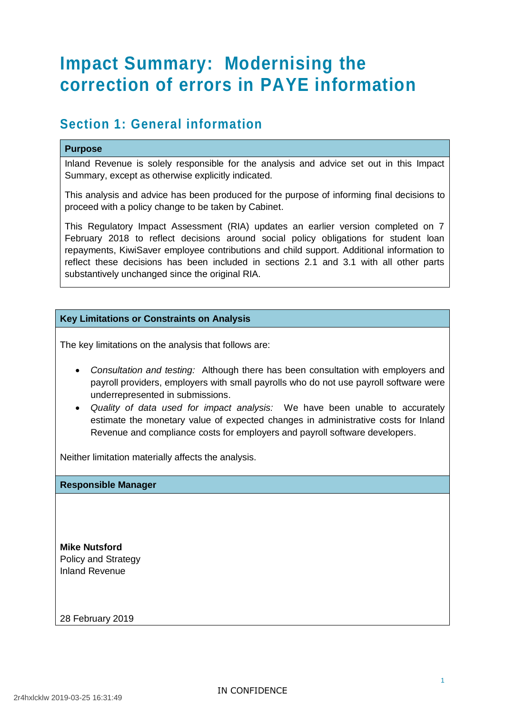# **Impact Summary: Modernising the correction of errors in PAYE information**

### **Section 1: General information**

#### **Purpose**

Inland Revenue is solely responsible for the analysis and advice set out in this Impact Summary, except as otherwise explicitly indicated.

This analysis and advice has been produced for the purpose of informing final decisions to proceed with a policy change to be taken by Cabinet.

This Regulatory Impact Assessment (RIA) updates an earlier version completed on 7 February 2018 to reflect decisions around social policy obligations for student loan repayments, KiwiSaver employee contributions and child support. Additional information to reflect these decisions has been included in sections 2.1 and 3.1 with all other parts substantively unchanged since the original RIA.

#### **Key Limitations or Constraints on Analysis**

The key limitations on the analysis that follows are:

- *Consultation and testing:* Although there has been consultation with employers and payroll providers, employers with small payrolls who do not use payroll software were underrepresented in submissions.
- *Quality of data used for impact analysis:* We have been unable to accurately estimate the monetary value of expected changes in administrative costs for Inland Revenue and compliance costs for employers and payroll software developers.

Neither limitation materially affects the analysis.

#### **Responsible Manager**

**Mike Nutsford** Policy and Strategy Inland Revenue

28 February 2019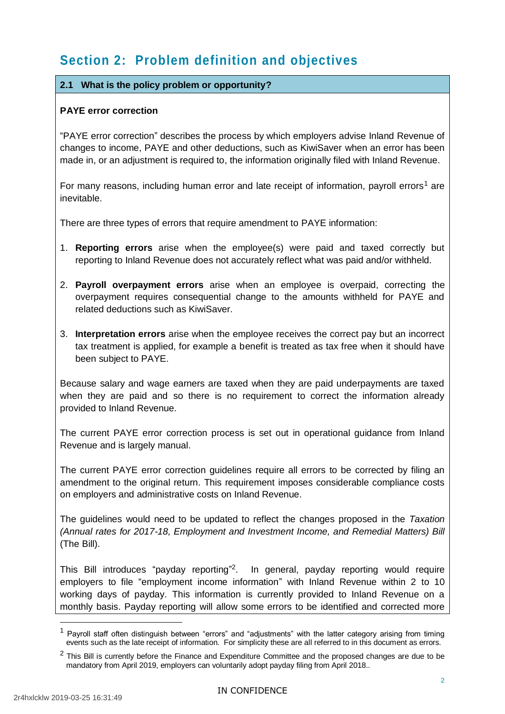# **Section 2: Problem definition and objectives**

#### **2.1 What is the policy problem or opportunity?**

#### **PAYE error correction**

"PAYE error correction" describes the process by which employers advise Inland Revenue of changes to income, PAYE and other deductions, such as KiwiSaver when an error has been made in, or an adjustment is required to, the information originally filed with Inland Revenue.

For many reasons, including human error and late receipt of information, payroll errors<sup>1</sup> are inevitable.

There are three types of errors that require amendment to PAYE information:

- 1. **Reporting errors** arise when the employee(s) were paid and taxed correctly but reporting to Inland Revenue does not accurately reflect what was paid and/or withheld.
- 2. **Payroll overpayment errors** arise when an employee is overpaid, correcting the overpayment requires consequential change to the amounts withheld for PAYE and related deductions such as KiwiSaver.
- 3. **Interpretation errors** arise when the employee receives the correct pay but an incorrect tax treatment is applied, for example a benefit is treated as tax free when it should have been subject to PAYE.

Because salary and wage earners are taxed when they are paid underpayments are taxed when they are paid and so there is no requirement to correct the information already provided to Inland Revenue.

The current PAYE error correction process is set out in operational guidance from Inland Revenue and is largely manual.

The current PAYE error correction guidelines require all errors to be corrected by filing an amendment to the original return. This requirement imposes considerable compliance costs on employers and administrative costs on Inland Revenue.

The guidelines would need to be updated to reflect the changes proposed in the *Taxation (Annual rates for 2017-18, Employment and Investment Income, and Remedial Matters) Bill* (The Bill).

This Bill introduces "payday reporting"<sup>2</sup>. In general, payday reporting would require employers to file "employment income information" with Inland Revenue within 2 to 10 working days of payday. This information is currently provided to Inland Revenue on a monthly basis. Payday reporting will allow some errors to be identified and corrected more

1

 $1$  Payroll staff often distinguish between "errors" and "adjustments" with the latter category arising from timing events such as the late receipt of information. For simplicity these are all referred to in this document as errors.

 $2$  This Bill is currently before the Finance and Expenditure Committee and the proposed changes are due to be mandatory from April 2019, employers can voluntarily adopt payday filing from April 2018..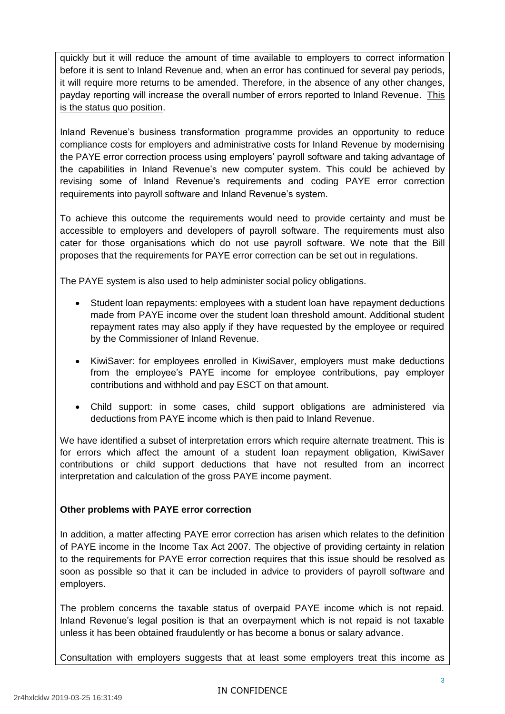quickly but it will reduce the amount of time available to employers to correct information before it is sent to Inland Revenue and, when an error has continued for several pay periods, it will require more returns to be amended. Therefore, in the absence of any other changes, payday reporting will increase the overall number of errors reported to Inland Revenue. This is the status quo position.

Inland Revenue's business transformation programme provides an opportunity to reduce compliance costs for employers and administrative costs for Inland Revenue by modernising the PAYE error correction process using employers' payroll software and taking advantage of the capabilities in Inland Revenue's new computer system. This could be achieved by revising some of Inland Revenue's requirements and coding PAYE error correction requirements into payroll software and Inland Revenue's system.

To achieve this outcome the requirements would need to provide certainty and must be accessible to employers and developers of payroll software. The requirements must also cater for those organisations which do not use payroll software. We note that the Bill proposes that the requirements for PAYE error correction can be set out in regulations.

The PAYE system is also used to help administer social policy obligations.

- Student loan repayments: employees with a student loan have repayment deductions made from PAYE income over the student loan threshold amount. Additional student repayment rates may also apply if they have requested by the employee or required by the Commissioner of Inland Revenue.
- KiwiSaver: for employees enrolled in KiwiSaver, employers must make deductions from the employee's PAYE income for employee contributions, pay employer contributions and withhold and pay ESCT on that amount.
- Child support: in some cases, child support obligations are administered via deductions from PAYE income which is then paid to Inland Revenue.

We have identified a subset of interpretation errors which require alternate treatment. This is for errors which affect the amount of a student loan repayment obligation, KiwiSaver contributions or child support deductions that have not resulted from an incorrect interpretation and calculation of the gross PAYE income payment.

#### **Other problems with PAYE error correction**

In addition, a matter affecting PAYE error correction has arisen which relates to the definition of PAYE income in the Income Tax Act 2007. The objective of providing certainty in relation to the requirements for PAYE error correction requires that this issue should be resolved as soon as possible so that it can be included in advice to providers of payroll software and employers.

The problem concerns the taxable status of overpaid PAYE income which is not repaid. Inland Revenue's legal position is that an overpayment which is not repaid is not taxable unless it has been obtained fraudulently or has become a bonus or salary advance.

Consultation with employers suggests that at least some employers treat this income as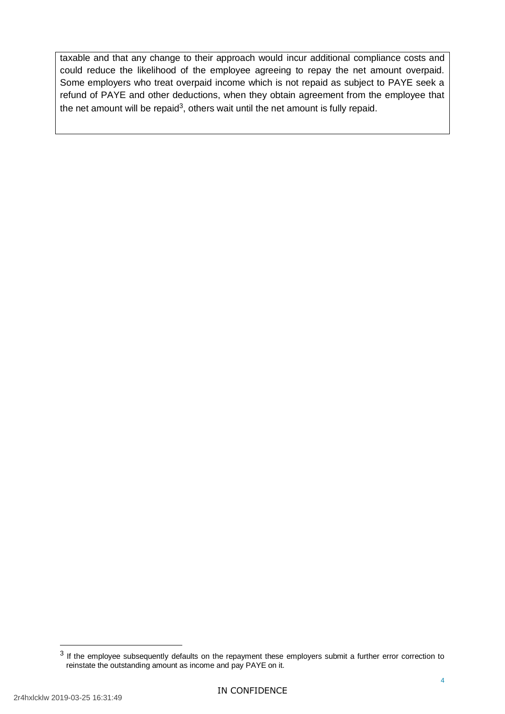taxable and that any change to their approach would incur additional compliance costs and could reduce the likelihood of the employee agreeing to repay the net amount overpaid. Some employers who treat overpaid income which is not repaid as subject to PAYE seek a refund of PAYE and other deductions, when they obtain agreement from the employee that the net amount will be repaid<sup>3</sup>, others wait until the net amount is fully repaid.

-

 $3$  If the employee subsequently defaults on the repayment these employers submit a further error correction to reinstate the outstanding amount as income and pay PAYE on it.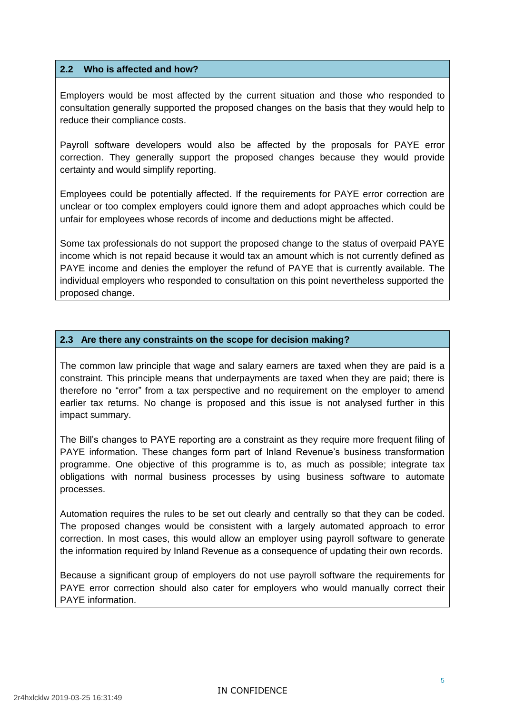#### **2.2 Who is affected and how?**

Employers would be most affected by the current situation and those who responded to consultation generally supported the proposed changes on the basis that they would help to reduce their compliance costs.

Payroll software developers would also be affected by the proposals for PAYE error correction. They generally support the proposed changes because they would provide certainty and would simplify reporting.

Employees could be potentially affected. If the requirements for PAYE error correction are unclear or too complex employers could ignore them and adopt approaches which could be unfair for employees whose records of income and deductions might be affected.

Some tax professionals do not support the proposed change to the status of overpaid PAYE income which is not repaid because it would tax an amount which is not currently defined as PAYE income and denies the employer the refund of PAYE that is currently available. The individual employers who responded to consultation on this point nevertheless supported the proposed change.

#### **2.3 Are there any constraints on the scope for decision making?**

The common law principle that wage and salary earners are taxed when they are paid is a constraint. This principle means that underpayments are taxed when they are paid; there is therefore no "error" from a tax perspective and no requirement on the employer to amend earlier tax returns. No change is proposed and this issue is not analysed further in this impact summary.

The Bill's changes to PAYE reporting are a constraint as they require more frequent filing of PAYE information. These changes form part of Inland Revenue's business transformation programme. One objective of this programme is to, as much as possible; integrate tax obligations with normal business processes by using business software to automate processes.

Automation requires the rules to be set out clearly and centrally so that they can be coded. The proposed changes would be consistent with a largely automated approach to error correction. In most cases, this would allow an employer using payroll software to generate the information required by Inland Revenue as a consequence of updating their own records.

Because a significant group of employers do not use payroll software the requirements for PAYE error correction should also cater for employers who would manually correct their PAYE information.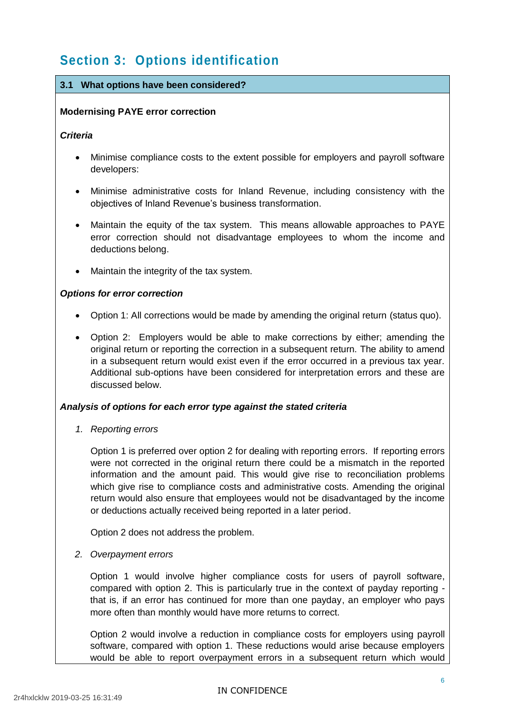# **Section 3: Options identification**

#### **3.1 What options have been considered?**

#### **Modernising PAYE error correction**

#### *Criteria*

- Minimise compliance costs to the extent possible for employers and payroll software developers:
- Minimise administrative costs for Inland Revenue, including consistency with the objectives of Inland Revenue's business transformation.
- Maintain the equity of the tax system. This means allowable approaches to PAYE error correction should not disadvantage employees to whom the income and deductions belong.
- Maintain the integrity of the tax system.

#### *Options for error correction*

- Option 1: All corrections would be made by amending the original return (status quo).
- Option 2: Employers would be able to make corrections by either; amending the original return or reporting the correction in a subsequent return. The ability to amend in a subsequent return would exist even if the error occurred in a previous tax year. Additional sub-options have been considered for interpretation errors and these are discussed below.

#### *Analysis of options for each error type against the stated criteria*

*1. Reporting errors*

Option 1 is preferred over option 2 for dealing with reporting errors. If reporting errors were not corrected in the original return there could be a mismatch in the reported information and the amount paid. This would give rise to reconciliation problems which give rise to compliance costs and administrative costs. Amending the original return would also ensure that employees would not be disadvantaged by the income or deductions actually received being reported in a later period.

Option 2 does not address the problem.

*2. Overpayment errors*

Option 1 would involve higher compliance costs for users of payroll software, compared with option 2. This is particularly true in the context of payday reporting that is, if an error has continued for more than one payday, an employer who pays more often than monthly would have more returns to correct.

Option 2 would involve a reduction in compliance costs for employers using payroll software, compared with option 1. These reductions would arise because employers would be able to report overpayment errors in a subsequent return which would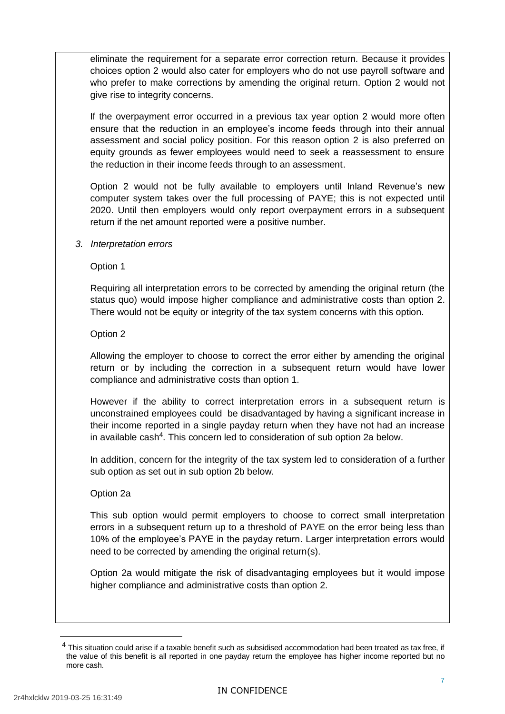eliminate the requirement for a separate error correction return. Because it provides choices option 2 would also cater for employers who do not use payroll software and who prefer to make corrections by amending the original return. Option 2 would not give rise to integrity concerns.

If the overpayment error occurred in a previous tax year option 2 would more often ensure that the reduction in an employee's income feeds through into their annual assessment and social policy position. For this reason option 2 is also preferred on equity grounds as fewer employees would need to seek a reassessment to ensure the reduction in their income feeds through to an assessment.

Option 2 would not be fully available to employers until Inland Revenue's new computer system takes over the full processing of PAYE; this is not expected until 2020. Until then employers would only report overpayment errors in a subsequent return if the net amount reported were a positive number.

*3. Interpretation errors* 

Option 1

Requiring all interpretation errors to be corrected by amending the original return (the status quo) would impose higher compliance and administrative costs than option 2. There would not be equity or integrity of the tax system concerns with this option.

Option 2

Allowing the employer to choose to correct the error either by amending the original return or by including the correction in a subsequent return would have lower compliance and administrative costs than option 1.

However if the ability to correct interpretation errors in a subsequent return is unconstrained employees could be disadvantaged by having a significant increase in their income reported in a single payday return when they have not had an increase in available cash<sup>4</sup>. This concern led to consideration of sub option 2a below.

In addition, concern for the integrity of the tax system led to consideration of a further sub option as set out in sub option 2b below.

Option 2a

This sub option would permit employers to choose to correct small interpretation errors in a subsequent return up to a threshold of PAYE on the error being less than 10% of the employee's PAYE in the payday return. Larger interpretation errors would need to be corrected by amending the original return(s).

Option 2a would mitigate the risk of disadvantaging employees but it would impose higher compliance and administrative costs than option 2.

1

 $<sup>4</sup>$  This situation could arise if a taxable benefit such as subsidised accommodation had been treated as tax free, if</sup> the value of this benefit is all reported in one payday return the employee has higher income reported but no more cash.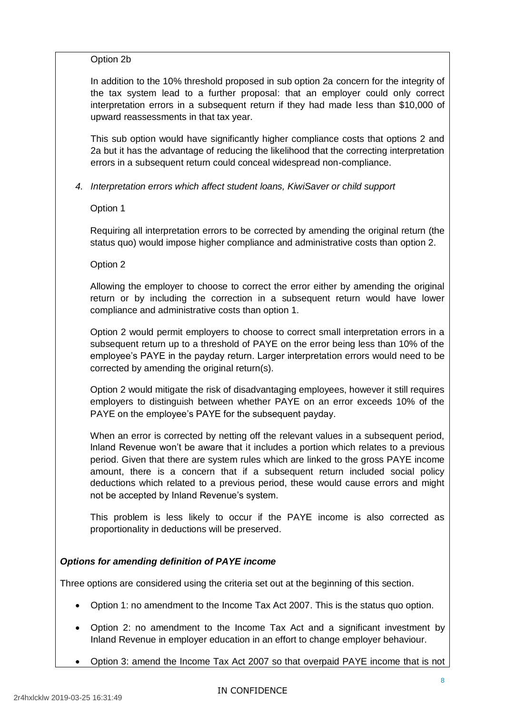#### Option 2b

In addition to the 10% threshold proposed in sub option 2a concern for the integrity of the tax system lead to a further proposal: that an employer could only correct interpretation errors in a subsequent return if they had made less than \$10,000 of upward reassessments in that tax year.

This sub option would have significantly higher compliance costs that options 2 and 2a but it has the advantage of reducing the likelihood that the correcting interpretation errors in a subsequent return could conceal widespread non-compliance.

*4. Interpretation errors which affect student loans, KiwiSaver or child support*

Option 1

Requiring all interpretation errors to be corrected by amending the original return (the status quo) would impose higher compliance and administrative costs than option 2.

Option 2

Allowing the employer to choose to correct the error either by amending the original return or by including the correction in a subsequent return would have lower compliance and administrative costs than option 1.

Option 2 would permit employers to choose to correct small interpretation errors in a subsequent return up to a threshold of PAYE on the error being less than 10% of the employee's PAYE in the payday return. Larger interpretation errors would need to be corrected by amending the original return(s).

Option 2 would mitigate the risk of disadvantaging employees, however it still requires employers to distinguish between whether PAYE on an error exceeds 10% of the PAYE on the employee's PAYE for the subsequent payday.

When an error is corrected by netting off the relevant values in a subsequent period. Inland Revenue won't be aware that it includes a portion which relates to a previous period. Given that there are system rules which are linked to the gross PAYE income amount, there is a concern that if a subsequent return included social policy deductions which related to a previous period, these would cause errors and might not be accepted by Inland Revenue's system.

This problem is less likely to occur if the PAYE income is also corrected as proportionality in deductions will be preserved.

#### *Options for amending definition of PAYE income*

Three options are considered using the criteria set out at the beginning of this section.

- Option 1: no amendment to the Income Tax Act 2007. This is the status quo option.
- Option 2: no amendment to the Income Tax Act and a significant investment by Inland Revenue in employer education in an effort to change employer behaviour.
- Option 3: amend the Income Tax Act 2007 so that overpaid PAYE income that is not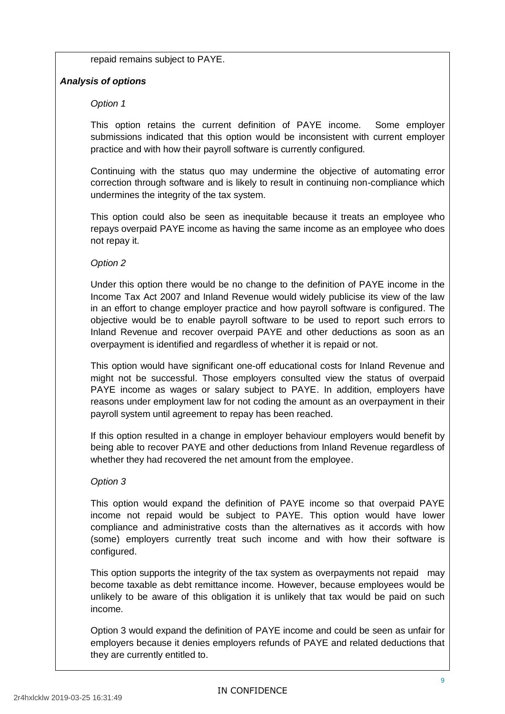repaid remains subject to PAYE.

#### *Analysis of options*

#### *Option 1*

This option retains the current definition of PAYE income. Some employer submissions indicated that this option would be inconsistent with current employer practice and with how their payroll software is currently configured.

Continuing with the status quo may undermine the objective of automating error correction through software and is likely to result in continuing non-compliance which undermines the integrity of the tax system.

This option could also be seen as inequitable because it treats an employee who repays overpaid PAYE income as having the same income as an employee who does not repay it.

#### *Option 2*

Under this option there would be no change to the definition of PAYE income in the Income Tax Act 2007 and Inland Revenue would widely publicise its view of the law in an effort to change employer practice and how payroll software is configured. The objective would be to enable payroll software to be used to report such errors to Inland Revenue and recover overpaid PAYE and other deductions as soon as an overpayment is identified and regardless of whether it is repaid or not.

This option would have significant one-off educational costs for Inland Revenue and might not be successful. Those employers consulted view the status of overpaid PAYE income as wages or salary subject to PAYE. In addition, employers have reasons under employment law for not coding the amount as an overpayment in their payroll system until agreement to repay has been reached.

If this option resulted in a change in employer behaviour employers would benefit by being able to recover PAYE and other deductions from Inland Revenue regardless of whether they had recovered the net amount from the employee.

#### *Option 3*

This option would expand the definition of PAYE income so that overpaid PAYE income not repaid would be subject to PAYE. This option would have lower compliance and administrative costs than the alternatives as it accords with how (some) employers currently treat such income and with how their software is configured.

This option supports the integrity of the tax system as overpayments not repaid may become taxable as debt remittance income. However, because employees would be unlikely to be aware of this obligation it is unlikely that tax would be paid on such income.

Option 3 would expand the definition of PAYE income and could be seen as unfair for employers because it denies employers refunds of PAYE and related deductions that they are currently entitled to.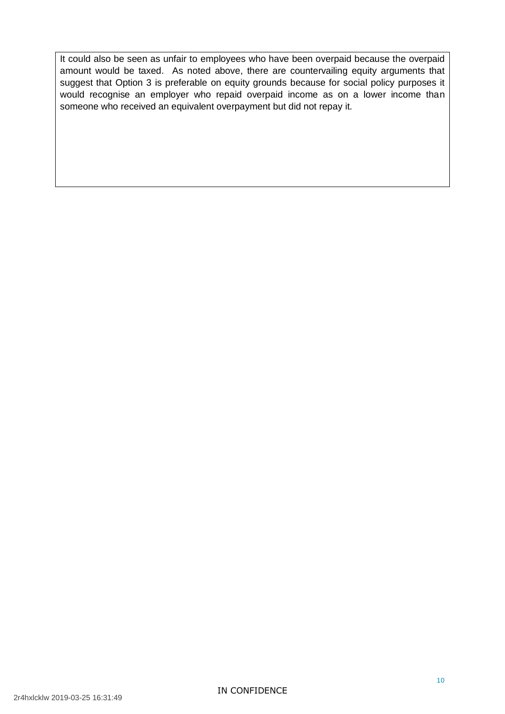It could also be seen as unfair to employees who have been overpaid because the overpaid amount would be taxed. As noted above, there are countervailing equity arguments that suggest that Option 3 is preferable on equity grounds because for social policy purposes it would recognise an employer who repaid overpaid income as on a lower income than someone who received an equivalent overpayment but did not repay it.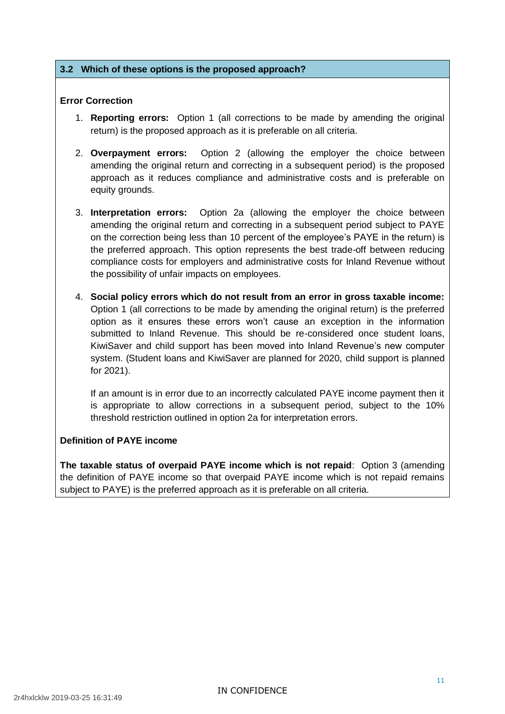#### **3.2 Which of these options is the proposed approach?**

#### **Error Correction**

- 1. **Reporting errors:** Option 1 (all corrections to be made by amending the original return) is the proposed approach as it is preferable on all criteria.
- 2. **Overpayment errors:** Option 2 (allowing the employer the choice between amending the original return and correcting in a subsequent period) is the proposed approach as it reduces compliance and administrative costs and is preferable on equity grounds.
- 3. **Interpretation errors:** Option 2a (allowing the employer the choice between amending the original return and correcting in a subsequent period subject to PAYE on the correction being less than 10 percent of the employee's PAYE in the return) is the preferred approach. This option represents the best trade-off between reducing compliance costs for employers and administrative costs for Inland Revenue without the possibility of unfair impacts on employees.
- 4. **Social policy errors which do not result from an error in gross taxable income:**  Option 1 (all corrections to be made by amending the original return) is the preferred option as it ensures these errors won't cause an exception in the information submitted to Inland Revenue. This should be re-considered once student loans, KiwiSaver and child support has been moved into Inland Revenue's new computer system. (Student loans and KiwiSaver are planned for 2020, child support is planned for 2021).

If an amount is in error due to an incorrectly calculated PAYE income payment then it is appropriate to allow corrections in a subsequent period, subject to the 10% threshold restriction outlined in option 2a for interpretation errors.

#### **Definition of PAYE income**

**The taxable status of overpaid PAYE income which is not repaid**: Option 3 (amending the definition of PAYE income so that overpaid PAYE income which is not repaid remains subject to PAYE) is the preferred approach as it is preferable on all criteria.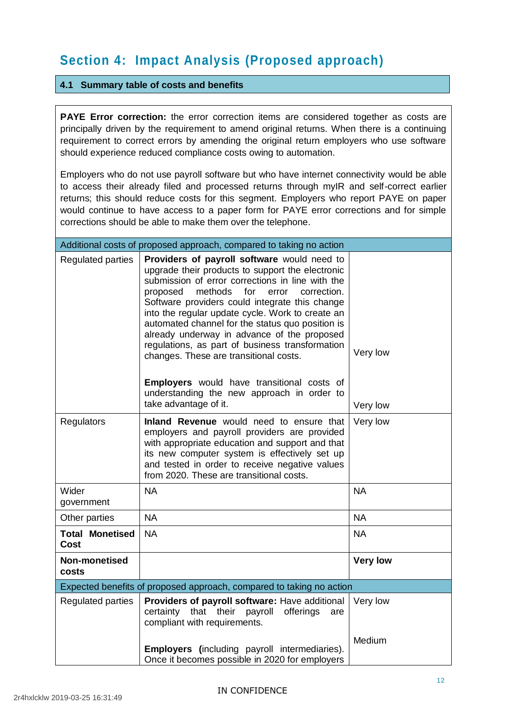# **Section 4: Impact Analysis (Proposed approach)**

#### **4.1 Summary table of costs and benefits**

**PAYE Error correction:** the error correction items are considered together as costs are principally driven by the requirement to amend original returns. When there is a continuing requirement to correct errors by amending the original return employers who use software should experience reduced compliance costs owing to automation.

Employers who do not use payroll software but who have internet connectivity would be able to access their already filed and processed returns through myIR and self-correct earlier returns; this should reduce costs for this segment. Employers who report PAYE on paper would continue to have access to a paper form for PAYE error corrections and for simple corrections should be able to make them over the telephone.

| Additional costs of proposed approach, compared to taking no action  |                                                                                                                                                                                                                                                                                                                                                                                                                                                                                                                                                                                                                                             |                      |  |  |
|----------------------------------------------------------------------|---------------------------------------------------------------------------------------------------------------------------------------------------------------------------------------------------------------------------------------------------------------------------------------------------------------------------------------------------------------------------------------------------------------------------------------------------------------------------------------------------------------------------------------------------------------------------------------------------------------------------------------------|----------------------|--|--|
| Regulated parties                                                    | Providers of payroll software would need to<br>upgrade their products to support the electronic<br>submission of error corrections in line with the<br>methods<br>proposed<br>for<br>error<br>correction.<br>Software providers could integrate this change<br>into the regular update cycle. Work to create an<br>automated channel for the status quo position is<br>already underway in advance of the proposed<br>regulations, as part of business transformation<br>changes. These are transitional costs.<br><b>Employers</b> would have transitional costs of<br>understanding the new approach in order to<br>take advantage of it. | Very low<br>Very low |  |  |
| Regulators                                                           | Inland Revenue would need to ensure that<br>employers and payroll providers are provided<br>with appropriate education and support and that<br>its new computer system is effectively set up<br>and tested in order to receive negative values<br>from 2020. These are transitional costs.                                                                                                                                                                                                                                                                                                                                                  | Very low             |  |  |
| Wider<br>government                                                  | <b>NA</b>                                                                                                                                                                                                                                                                                                                                                                                                                                                                                                                                                                                                                                   | <b>NA</b>            |  |  |
| Other parties                                                        | <b>NA</b>                                                                                                                                                                                                                                                                                                                                                                                                                                                                                                                                                                                                                                   | <b>NA</b>            |  |  |
| <b>Total Monetised</b><br><b>Cost</b>                                | <b>NA</b>                                                                                                                                                                                                                                                                                                                                                                                                                                                                                                                                                                                                                                   | <b>NA</b>            |  |  |
| Non-monetised<br>costs                                               |                                                                                                                                                                                                                                                                                                                                                                                                                                                                                                                                                                                                                                             | <b>Very low</b>      |  |  |
| Expected benefits of proposed approach, compared to taking no action |                                                                                                                                                                                                                                                                                                                                                                                                                                                                                                                                                                                                                                             |                      |  |  |
| Regulated parties                                                    | Providers of payroll software: Have additional<br>certainty that their payroll<br>offerings<br>are<br>compliant with requirements.                                                                                                                                                                                                                                                                                                                                                                                                                                                                                                          | Very low<br>Medium   |  |  |
|                                                                      | <b>Employers</b> (including payroll intermediaries).<br>Once it becomes possible in 2020 for employers                                                                                                                                                                                                                                                                                                                                                                                                                                                                                                                                      |                      |  |  |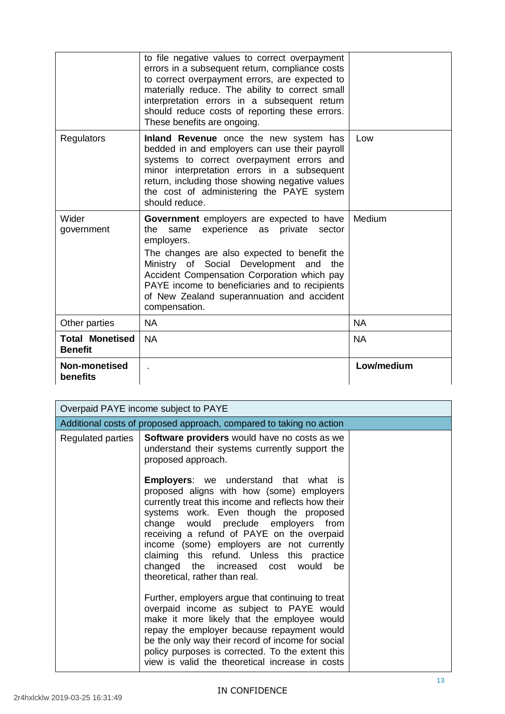|                                          | to file negative values to correct overpayment<br>errors in a subsequent return, compliance costs<br>to correct overpayment errors, are expected to<br>materially reduce. The ability to correct small<br>interpretation errors in a subsequent return<br>should reduce costs of reporting these errors.<br>These benefits are ongoing.                                      |            |
|------------------------------------------|------------------------------------------------------------------------------------------------------------------------------------------------------------------------------------------------------------------------------------------------------------------------------------------------------------------------------------------------------------------------------|------------|
| Regulators                               | Inland Revenue once the new system has<br>bedded in and employers can use their payroll<br>systems to correct overpayment errors and<br>minor interpretation errors in a subsequent<br>return, including those showing negative values<br>the cost of administering the PAYE system<br>should reduce.                                                                        | Low        |
| Wider<br>government                      | Government employers are expected to have<br>experience<br>private<br>the<br>same<br>as<br>sector<br>employers.<br>The changes are also expected to benefit the<br>Ministry of Social Development and<br>the<br>Accident Compensation Corporation which pay<br>PAYE income to beneficiaries and to recipients<br>of New Zealand superannuation and accident<br>compensation. | Medium     |
| Other parties                            | <b>NA</b>                                                                                                                                                                                                                                                                                                                                                                    | <b>NA</b>  |
| <b>Total Monetised</b><br><b>Benefit</b> | <b>NA</b>                                                                                                                                                                                                                                                                                                                                                                    | <b>NA</b>  |
| Non-monetised<br>benefits                |                                                                                                                                                                                                                                                                                                                                                                              | Low/medium |

| Overpaid PAYE income subject to PAYE                                |                                                                                                                                                                                                                                                                                                                                                                                                                                                                                                                                                                                                                                                                                                                                                                                                                  |  |  |  |
|---------------------------------------------------------------------|------------------------------------------------------------------------------------------------------------------------------------------------------------------------------------------------------------------------------------------------------------------------------------------------------------------------------------------------------------------------------------------------------------------------------------------------------------------------------------------------------------------------------------------------------------------------------------------------------------------------------------------------------------------------------------------------------------------------------------------------------------------------------------------------------------------|--|--|--|
| Additional costs of proposed approach, compared to taking no action |                                                                                                                                                                                                                                                                                                                                                                                                                                                                                                                                                                                                                                                                                                                                                                                                                  |  |  |  |
| Regulated parties                                                   | Software providers would have no costs as we<br>understand their systems currently support the<br>proposed approach.                                                                                                                                                                                                                                                                                                                                                                                                                                                                                                                                                                                                                                                                                             |  |  |  |
|                                                                     | <b>Employers:</b> we understand that what is<br>proposed aligns with how (some) employers<br>currently treat this income and reflects how their<br>systems work. Even though the proposed<br>change would preclude employers from<br>receiving a refund of PAYE on the overpaid<br>income (some) employers are not currently<br>claiming this refund. Unless this practice<br>changed the increased cost would<br>be<br>theoretical, rather than real.<br>Further, employers argue that continuing to treat<br>overpaid income as subject to PAYE would<br>make it more likely that the employee would<br>repay the employer because repayment would<br>be the only way their record of income for social<br>policy purposes is corrected. To the extent this<br>view is valid the theoretical increase in costs |  |  |  |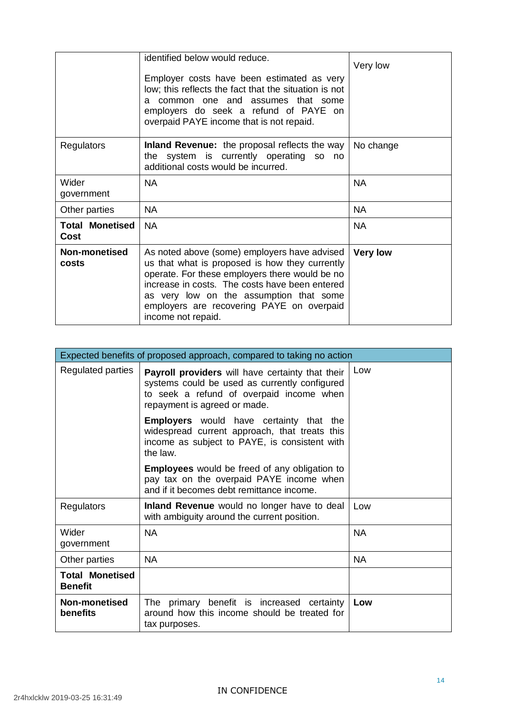|                                | identified below would reduce.<br>Employer costs have been estimated as very<br>low; this reflects the fact that the situation is not<br>common one and assumes that some<br>a<br>employers do seek a refund of PAYE on<br>overpaid PAYE income that is not repaid.                                              | Very low        |
|--------------------------------|------------------------------------------------------------------------------------------------------------------------------------------------------------------------------------------------------------------------------------------------------------------------------------------------------------------|-----------------|
| Regulators                     | <b>Inland Revenue:</b> the proposal reflects the way<br>the system is currently operating so no<br>additional costs would be incurred.                                                                                                                                                                           | No change       |
| Wider<br>government            | <b>NA</b>                                                                                                                                                                                                                                                                                                        | <b>NA</b>       |
| Other parties                  | NA.                                                                                                                                                                                                                                                                                                              | <b>NA</b>       |
| <b>Total Monetised</b><br>Cost | <b>NA</b>                                                                                                                                                                                                                                                                                                        | <b>NA</b>       |
| <b>Non-monetised</b><br>costs  | As noted above (some) employers have advised<br>us that what is proposed is how they currently<br>operate. For these employers there would be no<br>increase in costs. The costs have been entered<br>as very low on the assumption that some<br>employers are recovering PAYE on overpaid<br>income not repaid. | <b>Very low</b> |

| Expected benefits of proposed approach, compared to taking no action |                                                                                                                                                                               |           |  |
|----------------------------------------------------------------------|-------------------------------------------------------------------------------------------------------------------------------------------------------------------------------|-----------|--|
| Regulated parties                                                    | Payroll providers will have certainty that their<br>systems could be used as currently configured<br>to seek a refund of overpaid income when<br>repayment is agreed or made. | Low       |  |
|                                                                      | <b>Employers</b> would have certainty that the<br>widespread current approach, that treats this<br>income as subject to PAYE, is consistent with<br>the law.                  |           |  |
|                                                                      | <b>Employees</b> would be freed of any obligation to<br>pay tax on the overpaid PAYE income when<br>and if it becomes debt remittance income.                                 |           |  |
| Regulators                                                           | Inland Revenue would no longer have to deal<br>with ambiguity around the current position.                                                                                    | Low       |  |
| Wider<br>government                                                  | <b>NA</b>                                                                                                                                                                     | <b>NA</b> |  |
| Other parties                                                        | <b>NA</b>                                                                                                                                                                     | <b>NA</b> |  |
| <b>Total Monetised</b><br><b>Benefit</b>                             |                                                                                                                                                                               |           |  |
| Non-monetised<br>benefits                                            | The primary benefit is increased certainty<br>around how this income should be treated for<br>tax purposes.                                                                   | Low       |  |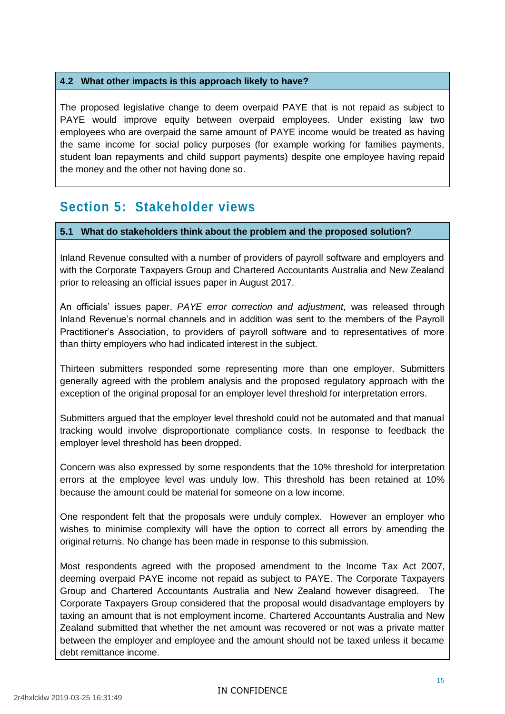#### **4.2 What other impacts is this approach likely to have?**

The proposed legislative change to deem overpaid PAYE that is not repaid as subject to PAYE would improve equity between overpaid employees. Under existing law two employees who are overpaid the same amount of PAYE income would be treated as having the same income for social policy purposes (for example working for families payments, student loan repayments and child support payments) despite one employee having repaid the money and the other not having done so.

### **Section 5: Stakeholder views**

#### **5.1 What do stakeholders think about the problem and the proposed solution?**

Inland Revenue consulted with a number of providers of payroll software and employers and with the Corporate Taxpayers Group and Chartered Accountants Australia and New Zealand prior to releasing an official issues paper in August 2017.

An officials' issues paper, *PAYE error correction and adjustment,* was released through Inland Revenue's normal channels and in addition was sent to the members of the Payroll Practitioner's Association, to providers of payroll software and to representatives of more than thirty employers who had indicated interest in the subject.

Thirteen submitters responded some representing more than one employer. Submitters generally agreed with the problem analysis and the proposed regulatory approach with the exception of the original proposal for an employer level threshold for interpretation errors.

Submitters argued that the employer level threshold could not be automated and that manual tracking would involve disproportionate compliance costs. In response to feedback the employer level threshold has been dropped.

Concern was also expressed by some respondents that the 10% threshold for interpretation errors at the employee level was unduly low. This threshold has been retained at 10% because the amount could be material for someone on a low income.

One respondent felt that the proposals were unduly complex. However an employer who wishes to minimise complexity will have the option to correct all errors by amending the original returns. No change has been made in response to this submission.

Most respondents agreed with the proposed amendment to the Income Tax Act 2007, deeming overpaid PAYE income not repaid as subject to PAYE. The Corporate Taxpayers Group and Chartered Accountants Australia and New Zealand however disagreed. The Corporate Taxpayers Group considered that the proposal would disadvantage employers by taxing an amount that is not employment income. Chartered Accountants Australia and New Zealand submitted that whether the net amount was recovered or not was a private matter between the employer and employee and the amount should not be taxed unless it became debt remittance income.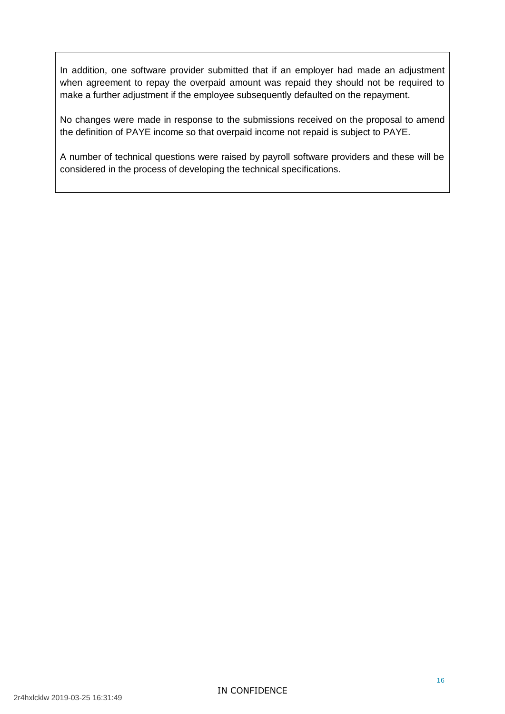In addition, one software provider submitted that if an employer had made an adjustment when agreement to repay the overpaid amount was repaid they should not be required to make a further adjustment if the employee subsequently defaulted on the repayment.

No changes were made in response to the submissions received on the proposal to amend the definition of PAYE income so that overpaid income not repaid is subject to PAYE.

A number of technical questions were raised by payroll software providers and these will be considered in the process of developing the technical specifications.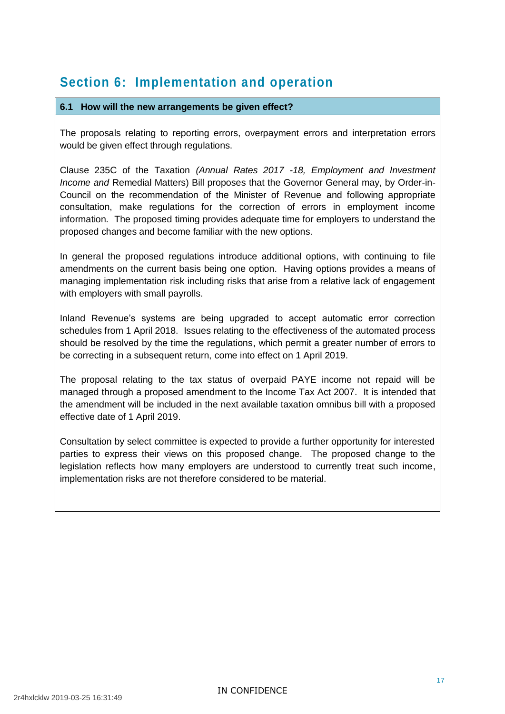### **Section 6: Implementation and operation**

#### **6.1 How will the new arrangements be given effect?**

The proposals relating to reporting errors, overpayment errors and interpretation errors would be given effect through regulations.

Clause 235C of the Taxation *(Annual Rates 2017 -18, Employment and Investment Income and* Remedial Matters) Bill proposes that the Governor General may, by Order-in-Council on the recommendation of the Minister of Revenue and following appropriate consultation, make regulations for the correction of errors in employment income information. The proposed timing provides adequate time for employers to understand the proposed changes and become familiar with the new options.

In general the proposed regulations introduce additional options, with continuing to file amendments on the current basis being one option. Having options provides a means of managing implementation risk including risks that arise from a relative lack of engagement with employers with small payrolls.

Inland Revenue's systems are being upgraded to accept automatic error correction schedules from 1 April 2018. Issues relating to the effectiveness of the automated process should be resolved by the time the regulations, which permit a greater number of errors to be correcting in a subsequent return, come into effect on 1 April 2019.

The proposal relating to the tax status of overpaid PAYE income not repaid will be managed through a proposed amendment to the Income Tax Act 2007. It is intended that the amendment will be included in the next available taxation omnibus bill with a proposed effective date of 1 April 2019.

Consultation by select committee is expected to provide a further opportunity for interested parties to express their views on this proposed change. The proposed change to the legislation reflects how many employers are understood to currently treat such income, implementation risks are not therefore considered to be material.